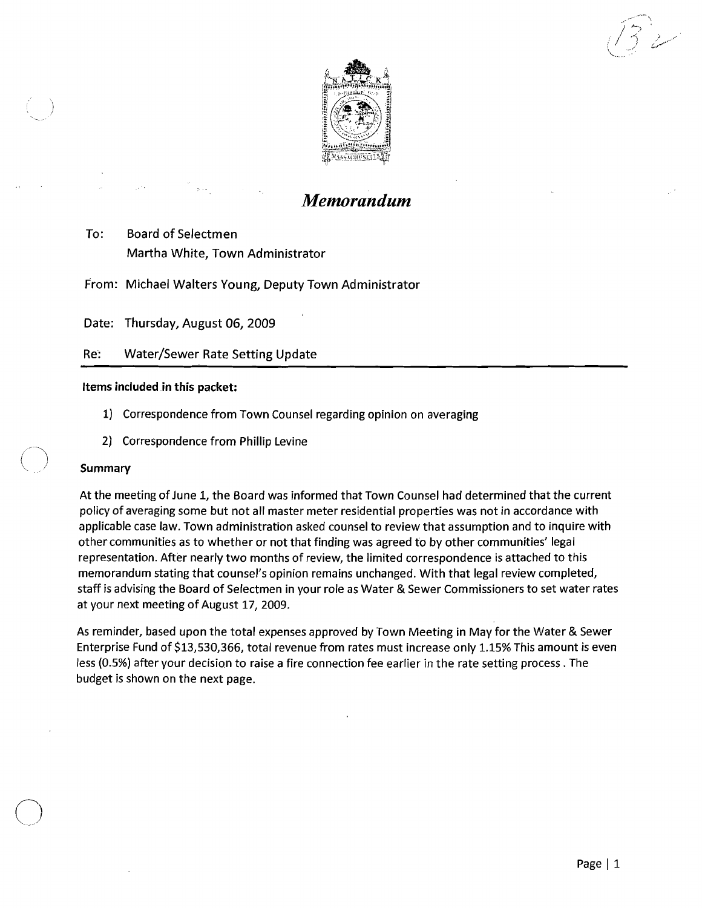....  $j \sim$ . *I,,')' t.;""<* 



## *Memorandum*

To: Board of Selectmen Martha White, Town Administrator

From: Michael Walters Young, Deputy Town Administrator

Date: Thursday, August 06, 2009

Re: Water/Sewer Rate Setting Update

## Items included in this packet:

- 1) Correspondence from Town Counsel regarding opinion on averaging
- 2) Correspondence from Phillip Levine

## Summary

At the meeting of June 1, the Board was informed that Town Counsel had determined that the current policy of averaging some but not all master meter residential properties was not in accordance with applicable case law. Town administration asked counsel to review that assumption and to inquire with other communities as to whether or not that finding was agreed to by other communities' legal representation. After nearly two months of review, the limited correspondence is attached to this memorandum stating that counsel's opinion remains unchanged. With that legal review completed, staff is advising the Board of Selectmen in your role as Water & Sewer Commissioners to set water rates at your next meeting of August 17, 2009.

As reminder, based upon the total expenses approved by Town Meeting in May for the Water & Sewer Enterprise Fund of \$13,530,366, total revenue from rates must increase only 1.15% This amount is even less (0.5%) after your decision to raise a fire connection fee earlier in the rate setting process. The budget is shown on the next page.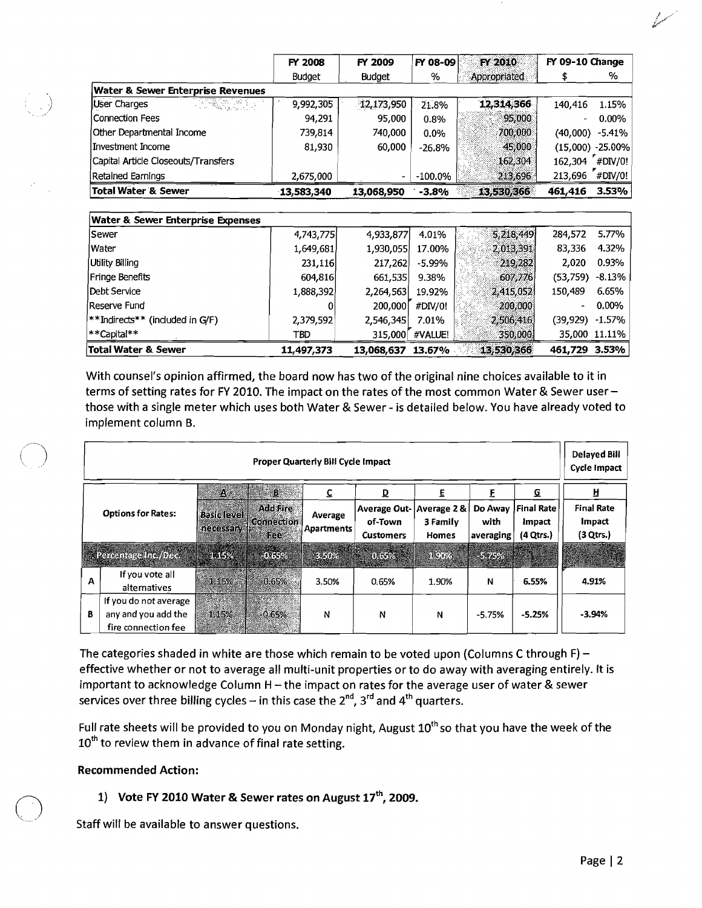|                                              | FY 2008       | FY 2009                  | FY 08-09   | FY 2010      | FY 09-10 Change |            |
|----------------------------------------------|---------------|--------------------------|------------|--------------|-----------------|------------|
|                                              | <b>Budget</b> | <b>Budget</b>            | %          | Appropriated |                 | %          |
| <b>Water &amp; Sewer Enterprise Revenues</b> |               |                          |            |              |                 |            |
| User Charges<br>HAR 제19                      | 9,992,305     | 12,173,950               | 21.8%      | 12,314,366   | 140,416         | 1.15%      |
| <b>Connection Fees</b>                       | 94,291        | 95,000                   | 0.8%       | 95,000       |                 | $0.00\%$   |
| Other Departmental Income                    | 739,814       | 740,000                  | $0.0\%$    | 700,000      | (40,000)        | $-5.41%$   |
| Investment Income                            | 81,930        | 60,000                   | $-26.8%$   | 45,000       | (15,000)        | $-25.00%$  |
| Capital Article Closeouts/Transfers          |               |                          |            | 162,304      | 162,304         | $H$ DIV/0! |
| Retained Earnings                            | 2,675,000     | $\overline{\phantom{a}}$ | $-100.0\%$ | 213,696      | 213,696 #DIV/0! |            |
| <b>Total Water &amp; Sewer</b>               | 13,583,340    | 13,068,950               | $-3.8%$    | 13,530,3661  | 461,416         | 3.53%      |
|                                              |               |                          |            |              |                 |            |
| <b>Water &amp; Sewer Enterprise Expenses</b> |               |                          |            |              |                 |            |
| Sewer                                        | 4,743,775     | 4,933,877                | 4.01%      | 5,218,449    | 284,572         | 5.77%      |
| Water                                        | 1,649,681     | 1,930,055                | 17.00%     | 2,013,391    | 83,336          | 4.32%      |
| Utility Billing                              | 231,116       | 217,262                  | -5.99%     | 219,282      | 2,020           | 0.93%      |
| Fringe Benefits                              | 604,816       | 661,535                  | 9.38%      | 607,776      | (53, 759)       | $-8.13%$   |
| Debt Service                                 | 1,888,392     | 2,264,563                | 19.92%     | 2,415,052    | 150,489         | 6.65%      |
| Reserve Fund                                 | 0             | 200,000                  | #DIV/0!    | 200,000      |                 | 0.00%      |
| **Indirects** (included in G/F)              | 2,379,592     | 2,546,345                | 7.01%      | 2,506,416    | (39,929)        | $-1.57%$   |

With counsel's opinion affirmed, the board now has two of the original nine choices available to it in terms of setting rates for FY 2010. The impact on the rates of the most common Water & Sewer userthose with a single meter which uses both Water & Sewer - is detailed below. You have already voted to implement column B.

315,000<sup>"</sup> #VALUE!

| <b>Proper Quarterly Bill Cycle Impact</b> |                                                                     |                                  |                                             |                       |                                                    |                                        |                              |                                                 |                                          |
|-------------------------------------------|---------------------------------------------------------------------|----------------------------------|---------------------------------------------|-----------------------|----------------------------------------------------|----------------------------------------|------------------------------|-------------------------------------------------|------------------------------------------|
| <b>Options for Rates:</b>                 |                                                                     | A,                               | 0 B                                         | C.                    | ₽                                                  | E                                      |                              | Q                                               | Н                                        |
|                                           |                                                                     | <b>Basic level</b><br>necessary. | <b>Add Fire</b><br><b>Connection</b><br>Fee | Average<br>Apartments | <b>Average Out-</b><br>of-Town<br><b>Customers</b> | Average 2&<br>3 Family<br><b>Homes</b> | Do Away<br>with<br>averaging | <b>Final Rate</b><br><b>Impact</b><br>(4 Qtrs.) | <b>Final Rate</b><br>Impact<br>(3 Qtrs.) |
|                                           | <b>Called Berge Inc. (Dec.)</b>                                     | <b>SKILLY</b>                    | ides.                                       | <b>RESOZE</b>         |                                                    | <b>DEED ALCOHOL</b>                    | <b>1979 - 1980 - 1980</b>    |                                                 | 22 March 2014                            |
| Α                                         | If you vote all<br>alternatives                                     | 1.15%                            | $-0.65%$                                    | 3.50%                 | 0.65%                                              | 1.90%                                  | N                            | 6.55%                                           | 4.91%                                    |
| В                                         | If you do not average<br>any and you add the<br>fire connection fee | 1.15%                            | $-0.65%$<br><b>Contractor</b>               | N                     | N                                                  | N                                      | $-5.75%$                     | $-5.25%$                                        | $-3.94%$                                 |

The categories shaded in white are those which remain to be voted upon (Columns C through F) effective whether or not to average all multi-unit properties or to do away with averaging entirely. It is important to acknowledge Column H - the impact on rates for the average user of water & sewer services over three billing cycles – in this case the  $2^{nd}$ ,  $3^{rd}$  and  $4^{th}$  quarters.

Full rate sheets will be provided to you on Monday night, August 10<sup>th</sup> so that you have the week of the  $10^{th}$  to review them in advance of final rate setting.

## Recommended Action:

# 1) Vote FY 2010 Water & Sewer rates on August  $17^{th}$ , 2009.<br>Staff will be available to answer questions.

\*\*Capital\*\* TBO 315,000 Total Water & Sewer 11,497,373 35,000 11.11%

13,068,637 461,729 3.53% 13.67% ..

350,000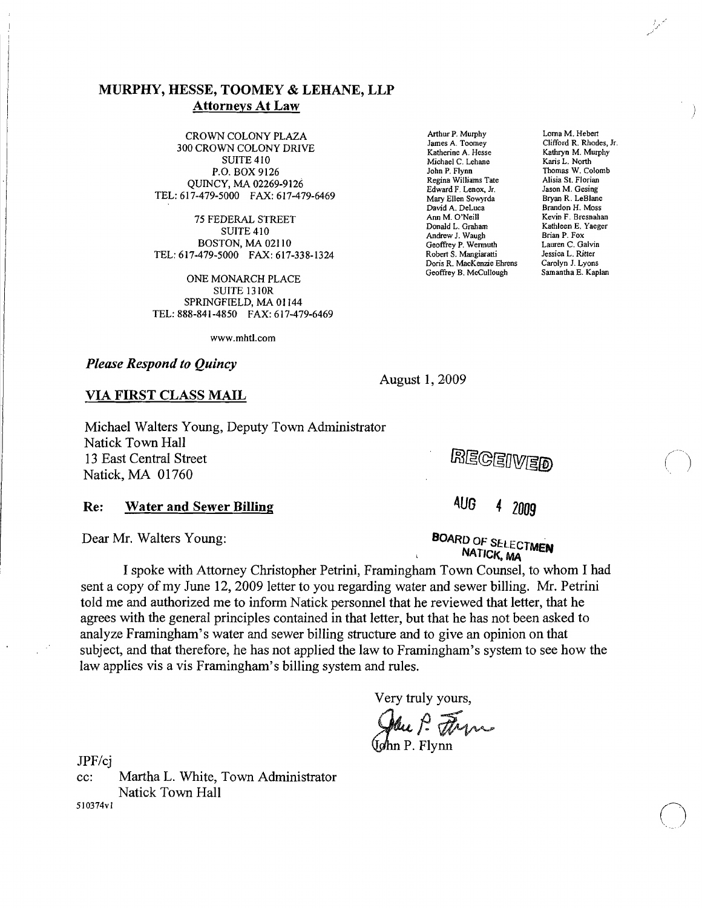CROWN COLONY PLAZA<br>
James A. Toomey Clifford R. Rhodes, Jr. (2019)<br>
James A. Toomey Clifford R. Rhodes, Jr. James A. Toomey Clifford R. Rhodes, Joseph Clifford R. Rhodes, Jr. 300 CROWN COLONY DRIVE Kathryn M. Murphy<br>SUITE 410 Michael C. Lehane Kathryn M. Murphy P.O. BOX 9126 QUINCY, MA 02269-9126 Regina Williams Tate Alisia St. Florian<br>Edward F. Lenox, Jr. Mary Elen Sowyrda Bryan R. LeBlanc<br>Mary Ellen Sowyrda Bryan R. LeBlanc

Ann M. O'Neill Kevin F. Bresnahan 75 FEDERAL STREET Donald L. Graham Kathleen E. Yaeger SUITE 410 Andrew J. Waugh Brian P. Fox SUITE 410<br>BOSTON, MA 02110 Geoffrey P. Wermuth Lauren C. Galvin<br>Andrew J. Waugh BOSTON, MA 02110<br>AT9-5000 FAX: 617-338-1324 Robert S. Mangiaratti Jessica L. Ritter TEL: 617-479-5000 FAX: 617-338-1324 Robert S. Mangiaratti Jessica L. Ritter<br>Doris R. MacKenzie Ehrens Carolyn J. Lyons

ONE MONARCH PLACE SUITE 13 lOR SPRINGFIELD, MA 01144 TEL: 888-841-4850 FAX: 617-479-6469

www.mhtl.com

*Please Respond to Quincy* 

Michael C. Lehane<br>John P. Flynn Regina Williams Tate<br>Edward F. Lenox, Jr. David A. DeLuca Brandon H. Moss Doris R. MacKenzie Ehrens Carolyn J. Lyons

Thomas W. Colomb<br>Alisia St. Florian

August 1, 2009

## VIA FIRST CLASS MAIL

Michael Walters Young, Deputy Town Administrator Natick Town Hall 13 East Central Street Natick, MA 01760

RECEIVED

## Re: Water and Sewer Billing 4UG 4 *<sup>2009</sup>*

Dear Mr. Walters Young: **BOARD OF SELECTMEN** NATICK, MA

I spoke with Attorney Christopher Petrini, Framingham Town Counsel, to whom I had sent a copy of my June 12, 2009 letter to you regarding water and sewer billing. Mr. Petrini told me and authorized me to inform Natick personnel that he reviewed that letter, that he agrees with the general principles contained in that letter, but that he has not been asked to analyze Framingham's water and sewer billing structure and to give an opinion on that subject, and that therefore, he has not applied the law to Framingham's system to see how the law applies vis a vis Framingham's billing system and rules.

Very truly yours,

Pau P. Flynn

JPF/cj

cc: Martha L. White, Town Administrator Natick Town Hall Sl0374vl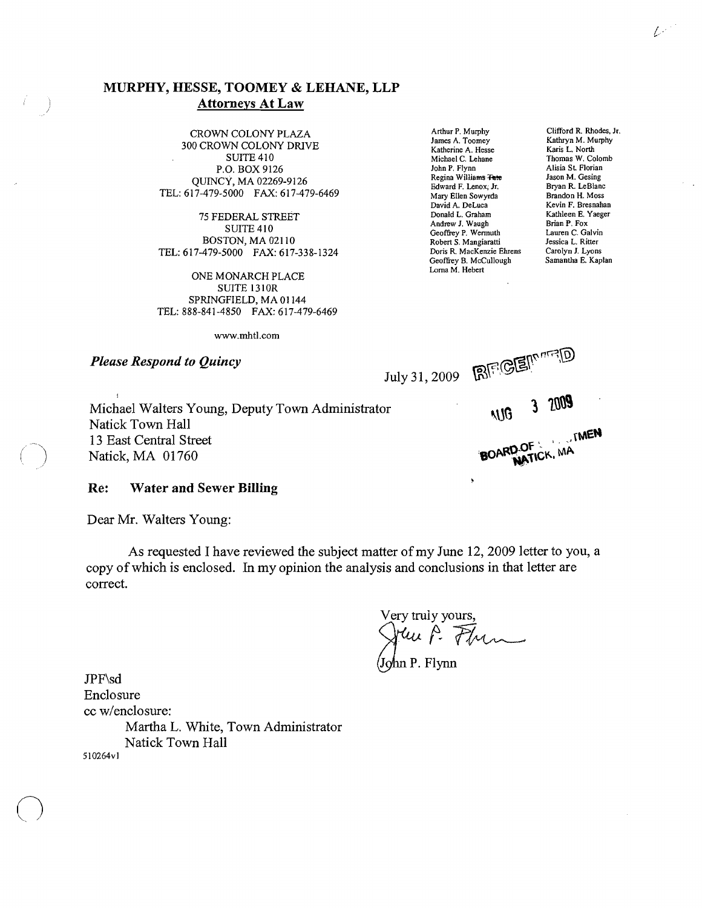Arthur P. Murphy Clifford R. Rhodes, Jr. (CROWN COLONY PLAZA Arthur P. Murphy Clifford R. Rhodes, Jr. (CALONY PLAZA James A. Toomey Kathryn M. Murphy James A. Toomey A. Murphy M. Murphy M. Murphy M. Murphy M. Murphy M. Murphy M. Murphy M. Murphy M. Murphy M. N<br>SUITE 410 SUITE Allows L. North Michael C. Lehane Thomas W. Co P.O. BOX 9126 QUINCY, MA 02269-9126<br>
T-479-5000 FAX: 617-479-6469 Edward F. Lenox; Jr. Bryan R. LeBlanc<br>
Mary Ellen Sowyrda Brandon H. Moss TEL: 617-479-5000 FAX: 617-479-6469 Mary Ellen Sowyrda Brandon H. Moss<br>Mary Ellen Sowyrda Brandon H. Moss<br>David A Del uca Revin F. Rresnahan

75 FEDERAL STREET<br>
SUITE 410<br>
SUITE 410<br>
Andrew J. Waugh<br>
Brian P. Fox BOSTON, MA 02110 Robert S. Mangiaratti Jessica L. Ritter<br>479-5000 FAX: 617-338-1324 Doris R. MacKenzie Ehrens Carolyn J. Lyons TEL: 617-479-5000 FAX: 617-338-1324 Doris R. MacKenzie Ehrens Carolyn J. Lyons<br>Geoffrey B. McCullough Samantha E. Kaplan

ONE MONARCH PLACE SUITE 1310R SPRINGFIELD, MA 01144 TEL: 888-841-4850 FAX: 617-479-6469

Suite 41 Michael C. Lehane<br>
Suite 410 Michael C. Lehane<br>
1991 Misia St. Florian<br>
1991 Alisia St. Florian Regina Williams Tate<br>
Edward F. Lenox, Jr.<br>
Bryan R. LeBlanc David A. DeLuca Kevin F. Bresnahan<br>Donald L. Graham Kathleen E. Yaeger Andrew P. Wermuth Brian Brian P. Galvin Robert S. Mangiaratti Jessica L. Ritter Geoffrey B. McCullough Lorna M. Hebert

Alisia St. Florian<br>Iason M. Gesing

 $L^{\frac{1}{2}}$ 

www.mhtl.com

*Please Respond to Quincy* **comparished and the** *Quincy* **c**,  $\lim_{x \to 0}$  .  $\lim_{x \to 0}$  . **E** BOARD OF KINEN D.OF CK, MA

Michael Walters Young, Deputy Town Administrator 1 16 16 Natick Town Hall 13 East Central Street Natick, MA 01760

## Re: Water and Sewer Billing

Dear Mr. Walters Young:

As requested I have reviewed the subject matter of my June 12, 2009 letter to you, a copy of which is enclosed. In my opinion the analysis and conclusions in that letter are correct.

Very truly yours, June P. Frem

hn P. Flynn

JPF\sd Enclosure cc *w/enclosure:*  Martha L. White, Town Administrator Natick Town Hall 510264vl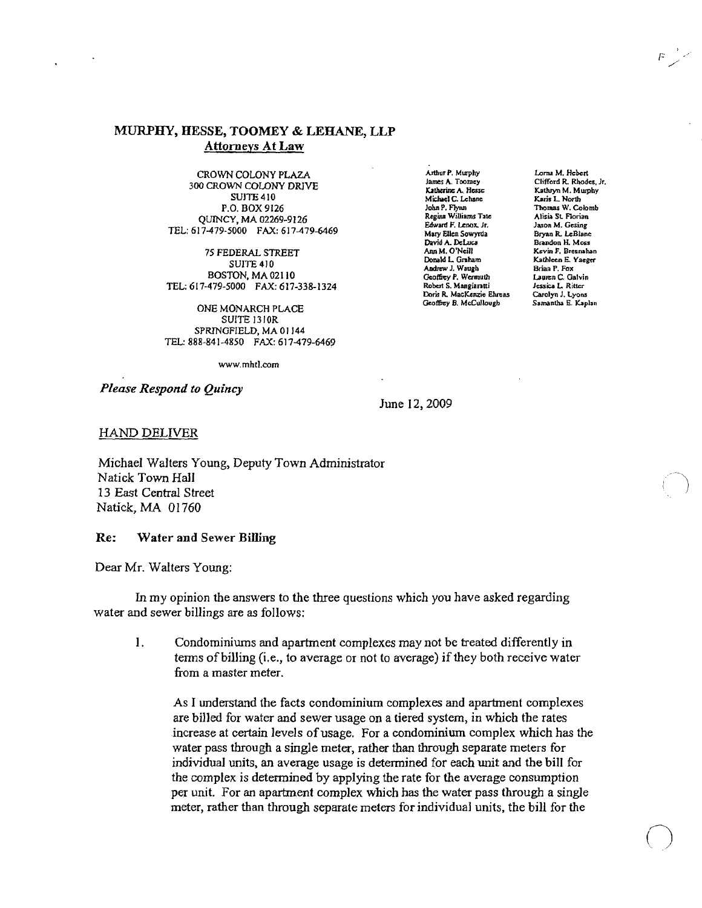CROWN COLONY PLAZA 300 CROWN COLONY DRIVE **SUITE 410** P.O. BOX 9126 QUINCY, MA 02269-9126 TEL: 617-479-5000 FAX: 617-479-6469

75 FEDERAL STREET SUITE 410 BOSTON, MA 02110 TEL: 617-479-5000 FAX: 617-338-1324

ONE MONARCH PLACE SUITE 13JOR SPRINGFIELD, MA 01144 TEL: 888-841-4850 FAX: 617-479-6469

www.mhtl.com

*Please Respond to Quincy* 

Arthur P. Murphy James A. Toomey Katherine A. Hesse Michael C. Lehane<br>John P. Flyan Regina Williams Tate Edward F. Lenox. Jr. Mary Ellen Sowyrda<br>David A. DeLuca AM M. O'Neill Donald L. Graham Andrew J. Waugh Geoffrey P. Wermuth<br>Robert S. Mangiaratti Doris R. MacKenzie Ehrens<br>Geoffrey B. McCullough

Lonu M. Hebert Clifford R. Rhodes, Jr. Katluyn M. Murphy Karis L. North<br>Thomas W. Colomb Alisia St. Florian Jason M. Gesing Bryan R. leBlanc Brandon H. Moss **Kevin** *P.* **Bresnahan**  Kathleen E. Yaeger Brian P. Fox Lauren C. Galvin Jessica L. Ritter Carolyn J. Lyons

 $\bigcirc$ 

June 12, 2009

HAND DELIVER

Michael Walters Young, Deputy Town Administrator Natick Town Hall 13 East Central Street Natick, MA 01760

Re: Water and Sewer Billing

Dear Mr. Walters Young:

In my opinion the answers to the three questions which you have asked regarding water and sewer billings are as follows:

I. Condominiums and apartment complexes may not be treated differently in tenns ofbiIling (i.e., to average or not to average) if they both receive water from a master meter.

As I understand the facts condominium complexes and apartment complexes are billed for water and sewer usage on a tiered system, in which the rates increase at certain levels of usage. For a condominium complex which has the water pass through a single meter, rather than through separate meters for individual units, an average usage is determined for each unit and the bill for the complex is detennined by applying the rate for the average consumption per unit. For an apartment complex which has the water pass through a single meter, rather than through separate meters for individual units, the bill for the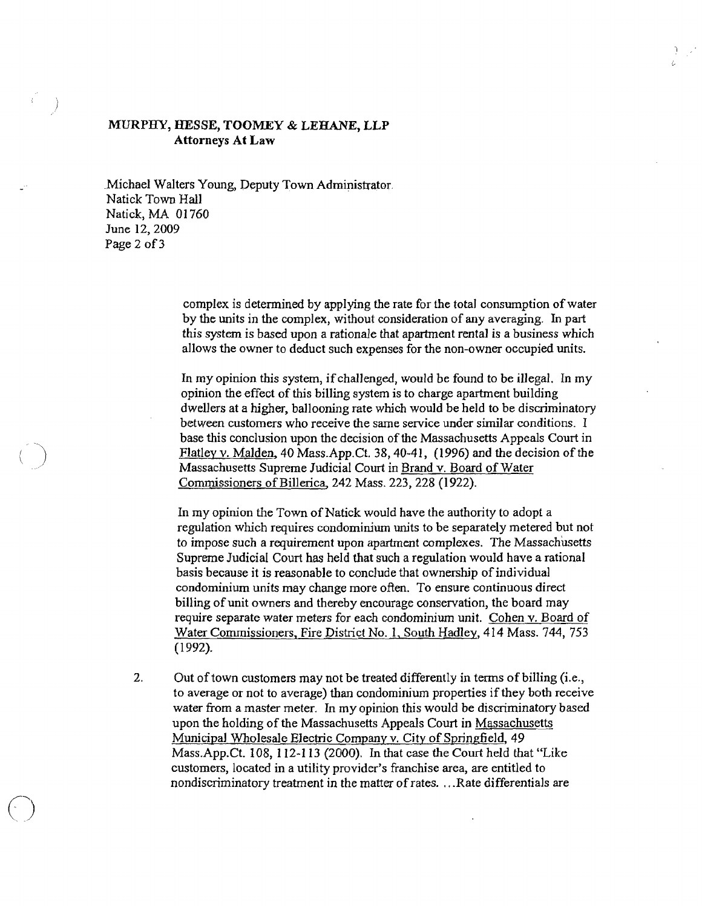\_Michael Walters Young, Deputy Town Administrator. Natick Town Hall Natick, MA 01760 June 12,2009 Page 2 of 3

 $\bigodot$ 

complex is determined by applying the rate for the total consumption of water by the units in the complex, without consideration of any averaging. In part this system is based upon a rationale that apartment rental is a business which allows the owner to deduct such expenses for the non-owner occupied units.

In my opinion this system, if challenged, would be found to be illegal. In my opinion the effect of this billing system is to charge apartment building dwellers at a higher, ballooning rate which would be held to be discriminatory between customers who receive the same service under similar conditions. I base this conclusion upon the decision of the Massachusetts Appeals Court in Flatley v. Malden, 40 Mass.App.Ct. 38, 40-41, (1996) and the decision of the Massachusetts Supreme Judicial Court in Brand v. Board of Water Commissioners of Billerica, 242 Mass. 223, 228 (1922).

In my opinion the Town of Natick would have the authority to adopt a regulation which requires condominium units to be separately metered but not to impose such a requirement upon apartment complexes. The Massachusetts Supreme Judicial Court has held that such a regulation would have a rational basis because it is reasonable to conclude that ownership of individual condominium units may change more often. To ensure continuous direct billing of unit owners and thereby encourage conservation, the board may require separate water meters for each condominium unit. Cohen v. Board of Water Commissioners, Fire District No.1, South Hadley, 414 Mass. 744, 753 (1992).

2. Out of town customers may not be treated differently in terms of billing (i.e., to average or not to average) than condominium properties if they both receive water from a master meter. In my opinion this would be discriminatory based upon the holding of the Massachusetts Appeals Court in Massachusetts Municipal Wholesale Electric Company v. City of Springfield, 49 Mass.App.Ct. 108, 112-113 (2000). In that case the Court held that "Like customers, located in a utility provider's franchise area, are entitled to nondiscriminatory treatment in the matter of rates. ... Rate differentials are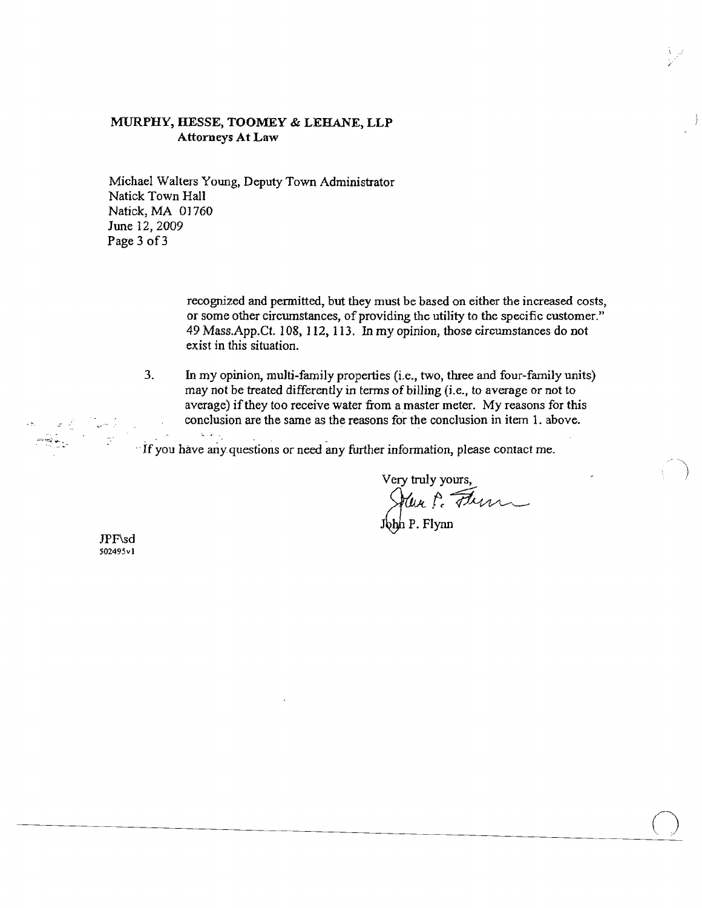Michael Walters Young, Deputy Town Administrator Natick Town Hall Natick, MA 01760 June 12,2009 Page 3 of 3

> recognized and permitted, but they must be based on either the increased costs, or some other circumstances, of providing the utility to the specific customer." 49 Mass.App.Ct. 108, J12, 113. In my opinion, those circumstances do not exist in this situation.

3. In my opinion, multi-family properties (i.e., two, three and four-family units) may not be treated differently in tenns of billing (i.e., to average or not to average) if they too receive water from a master meter. My reasons for this conclusion are the same as the reasons for the conclusion in item 1. above.

.. If you have ariyquestions or need any further information, please contact me.

Very truly yours,<br>July P. *Flum* 

 $\bigcirc$ 

John P. Flynn

JPF\sd 502495vl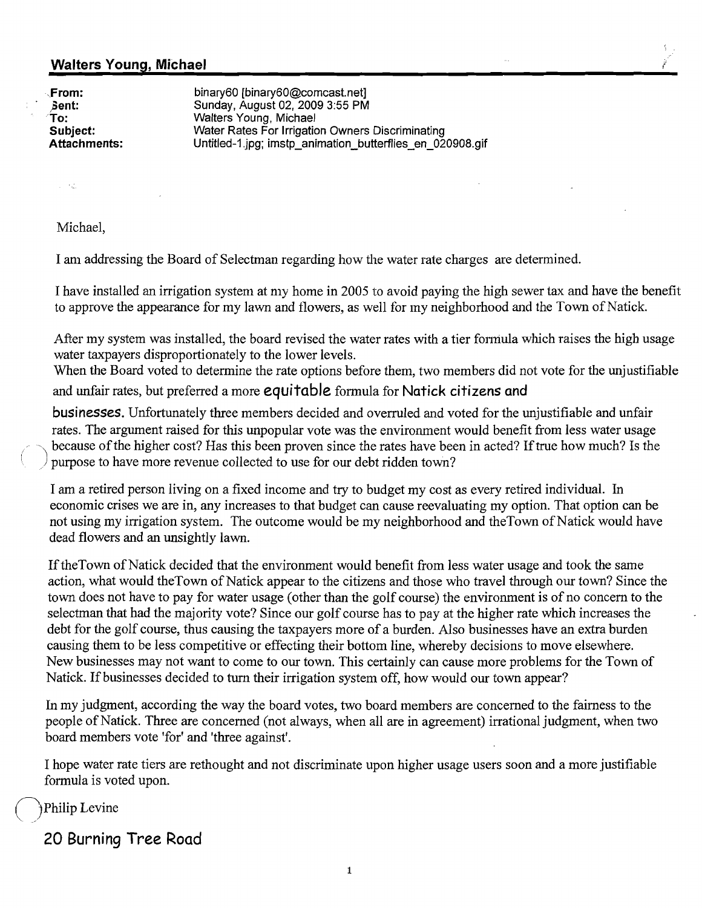"From: binary60 [binary60@comcast.net] **Sent:** Sunday, August 02,20093:55 PM To: Walters Young, Michael **Subject:** Water Rates For Irrigation Owners Discriminating **Attachments:** Untitled-1..jpg; imstp\_animation\_butterflies\_en\_020908.gif

 $\sim$   $\sim$ 

Michael,

I am addressing the Board of Selectman regarding how the water rate charges are determined.

I have installed an irrigation system at my home in 2005 to avoid paying the high sewer tax and have the benefit to approve the appearance for my lawn and flowers, as well for my neighborhood and the Town of Natick.

After my system was installed, the board revised the water rates with a tier formula which raises the high usage water taxpayers disproportionately to the lower levels.

When the Board voted to determine the rate options before them, two members did not vote for the unjustifiable and unfair rates, but preferred a more **equitable** formula for **Natick citizens and** 

**businesses.** Unfortunately three members decided and overruled and voted for the unjustifiable and unfair rates. The argument raised for this unpopular vote was the environment would benefit from less water usage because of the higher cost? Has this been proven since the rates have been in acted? If true how much? Is the / purpose to have more revenue collected to use for our debt ridden town?

I am a retired person living on a fixed income and try to budget my cost as every retired individual. In economic crises we are in, any increases to that budget can cause reevaluating my option. That option can be not using my irrigation system. The outcome would be my neighborhood and theTown of Natick would have dead flowers and an unsightly lawn.

If the Town of Natick decided that the environment would benefit from less water usage and took the same action, what would theTown of Natick appear to the citizens and those who travel through our town? Since the town does not have to pay for water usage (other than the golf course) the environment is of no concern to the selectman that had the majority vote? Since our golf course has to pay at the higher rate which increases the debt for the golf course, thus causing the taxpayers more of a burden. Also businesses have an extra burden causing them to be less competitive or effecting their bottom line, whereby decisions to move elsewhere. New businesses may not want to come to our town. This certainly can cause more problems for the Town of Natick. If businesses decided to turn their irrigation system off, how would our town appear?

In my judgment, according the way the board votes, two board members are concerned to the fairness to the people of Natick. Three are concerned (not always, when all are in agreement) irrational judgment, when two board members vote 'for' and 'three against'.

I hope water rate tiers are rethought and not discriminate upon higher usage users soon and a more justifiable formula is voted upon.

Philip Levine

**20 Burning Tree Road**